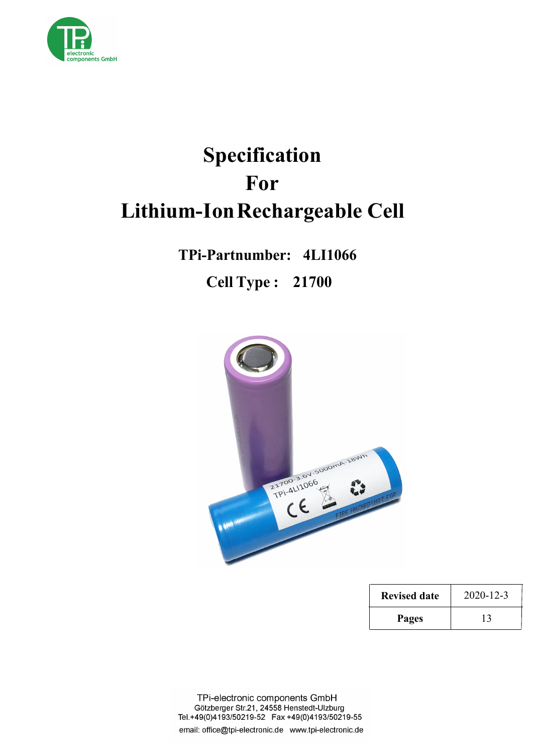

# **Specification For Lithium-IonRechargeable Cell**

**TPi-Partnumber: 4LI1066 Cell Type : 21700**



| <b>Revised date</b> | $2020 - 12 - 3$ |  |
|---------------------|-----------------|--|
| Pages               |                 |  |

TPi-electronic components GmbH Götzberger Str.21, 24558 Henstedt-Ulzburg Tel.+49(0)4193/50219-52 Fax +49(0)4193/50219-55 email: office@tpi-electronic.de www.tpi-electronic.de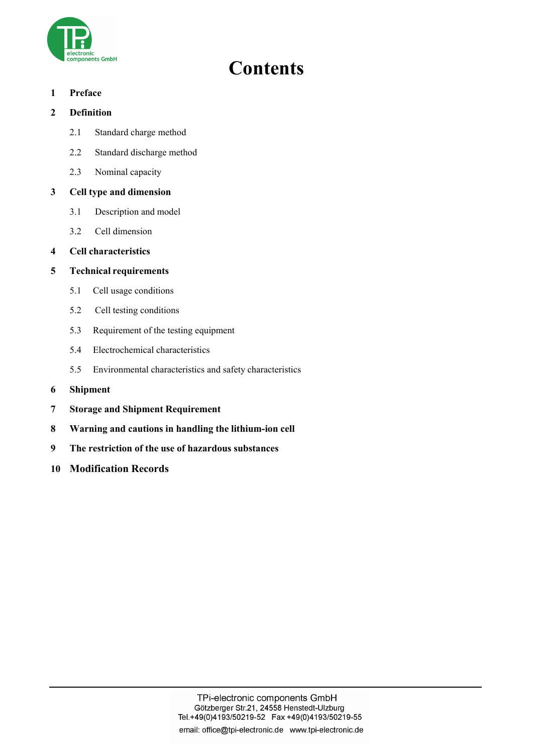

# **Contents**

### **1 Preface**

# **2 Definition**

- 2.1 Standard charge method
- 2.2 Standard discharge method
- 2.3 Nominal capacity

# **3 Cell type and dimension**

- 3.1 Description and model
- 3.2 Cell dimension

# **4 Cell characteristics**

# **5 Technical requirements**

- 5.1 Cell usage conditions
- 5.2 Cell testing conditions
- 5.3 Requirement of the testing equipment
- 5.4 Electrochemical characteristics
- 5.5 Environmental characteristics and safety characteristics
- **6 Shipment**
- **7 Storage and Shipment Requirement**
- **8 Warning and cautions in handling the lithium-ion cell**
- **9 The restriction of the use of hazardous substances**
- **10 Modification Records**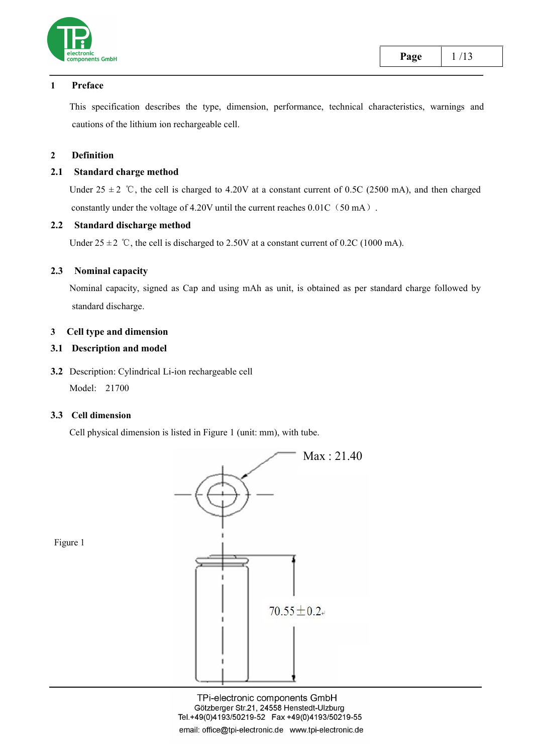

#### **1 Preface**

This specification describes the type, dimension, performance, technical characteristics, warnings and cautions of the lithium ion rechargeable cell.

#### **2 Definition**

#### **2.1 Standard charge method**

Under 25  $\pm$  2 °C, the cell is charged to 4.20V at a constant current of 0.5C (2500 mA), and then charged constantly under the voltage of 4.20V until the current reaches  $0.01C(50 mA)$ .

#### **2.2 Standard discharge method**

Under  $25 \pm 2$  °C, the cell is discharged to 2.50V at a constant current of 0.2C (1000 mA).

#### **2.3 Nominal capacity**

Nominal capacity, signed as Cap and using mAh as unit, is obtained as per standard charge followed by standard discharge.

#### **3 Cell type and dimension**

#### **3.1 Description and model**

**3.2** Description: Cylindrical Li-ion rechargeable cell Model: 21700

#### **3.3 Cell dimension**

Cell physical dimension is listed in Figure 1 (unit: mm), with tube.



TPi-electronic components GmbH Götzberger Str.21, 24558 Henstedt-Ulzburg email: office@tpi-electronic.de www.tpi-electronic.de

Figure 1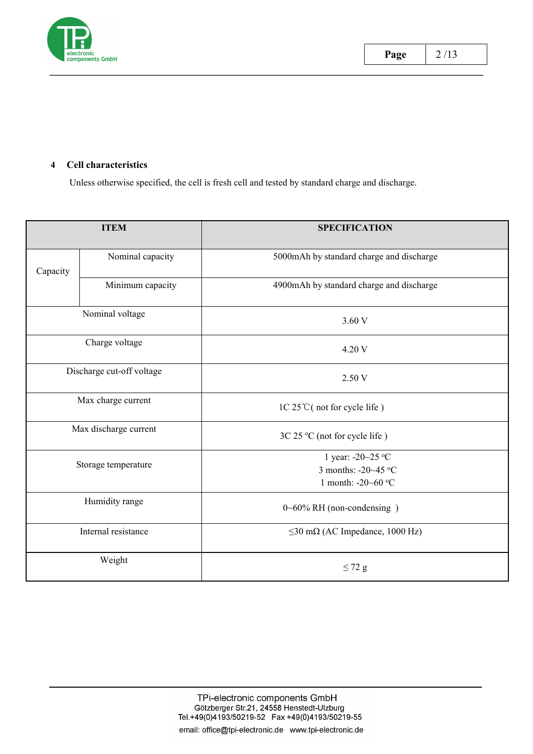

#### **4 Cell characteristics**

Unless otherwise specified, the cell is fresh cell and tested by standard charge and discharge.

|          | <b>ITEM</b>               | <b>SPECIFICATION</b>                                                |
|----------|---------------------------|---------------------------------------------------------------------|
| Capacity | Nominal capacity          | 5000mAh by standard charge and discharge                            |
|          | Minimum capacity          | 4900mAh by standard charge and discharge                            |
|          | Nominal voltage           | 3.60 V                                                              |
|          | Charge voltage            | 4.20 V                                                              |
|          | Discharge cut-off voltage | 2.50 V                                                              |
|          | Max charge current        | 1C 25°C (not for cycle life)                                        |
|          | Max discharge current     | 3C 25 °C (not for cycle life)                                       |
|          | Storage temperature       | 1 year: -20~25 °C<br>3 months: $-20-45$ °C<br>1 month: -20~60 °C    |
|          | Humidity range            | $0\negthinspace\negthinspace\negthinspace 60\%$ RH (non-condensing) |
|          | Internal resistance       | $\leq$ 30 m $\Omega$ (AC Impedance, 1000 Hz)                        |
|          | Weight                    | $\leq$ 72 g                                                         |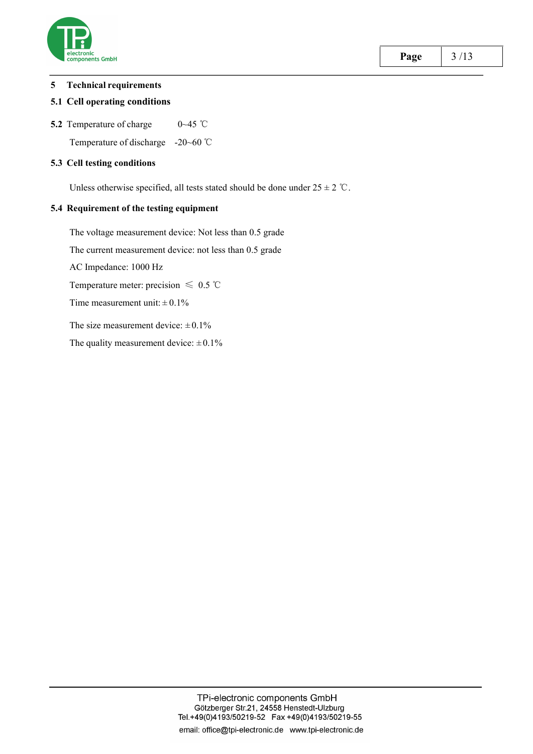

#### **5 Technical requirements**

#### **5.1 Cell operating conditions**

**5.2** Temperature of charge 0∼45 ℃

Temperature of discharge -20~60 ℃

#### **5.3 Cell testing conditions**

Unless otherwise specified, all tests stated should be done under  $25 \pm 2$  °C.

#### **5.4 Requirement of the testing equipment**

The voltage measurement device: Not less than 0.5 grade The current measurement device: not less than 0.5 grade AC Impedance: 1000 Hz Temperature meter: precision  $\leq 0.5$  °C Time measurement unit:  $\pm 0.1\%$ The size measurement device:  $\pm 0.1\%$ The quality measurement device:  $\pm 0.1\%$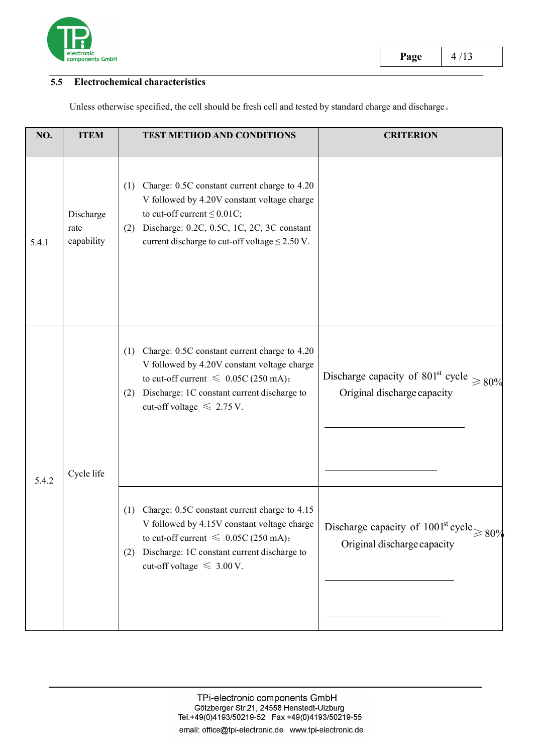

# **5.5 Electrochemical characteristics**

Unless otherwise specified, the cell should be fresh cell and tested by standard charge and discharge。

| <b>ITEM</b>                     | TEST METHOD AND CONDITIONS                                                                                                                                                                                                                       | <b>CRITERION</b>                                                                                                                              |
|---------------------------------|--------------------------------------------------------------------------------------------------------------------------------------------------------------------------------------------------------------------------------------------------|-----------------------------------------------------------------------------------------------------------------------------------------------|
| Discharge<br>rate<br>capability | (1) Charge: 0.5C constant current charge to 4.20<br>V followed by 4.20V constant voltage charge<br>to cut-off current $\leq 0.01C$ ;<br>Discharge: 0.2C, 0.5C, 1C, 2C, 3C constant<br>(2)<br>current discharge to cut-off voltage $\leq$ 2.50 V. |                                                                                                                                               |
|                                 | Charge: 0.5C constant current charge to 4.20<br>(1)<br>V followed by 4.20V constant voltage charge<br>to cut-off current $\leq 0.05C$ (250 mA);<br>(2) Discharge: 1C constant current discharge to<br>cut-off voltage $\leq 2.75$ V.             | Discharge capacity of 801 <sup>st</sup> cycle $\geq 80\%$<br>Original discharge capacity                                                      |
|                                 | Charge: 0.5C constant current charge to 4.15<br>(1)<br>to cut-off current $\leq 0.05C$ (250 mA);<br>(2) Discharge: 1C constant current discharge to<br>cut-off voltage $\leq 3.00$ V.                                                            | V followed by 4.15V constant voltage charge $\Big $ Discharge capacity of 1001 <sup>st</sup> cycle $\geq 80\%$<br>Original discharge capacity |
|                                 | Cycle life                                                                                                                                                                                                                                       |                                                                                                                                               |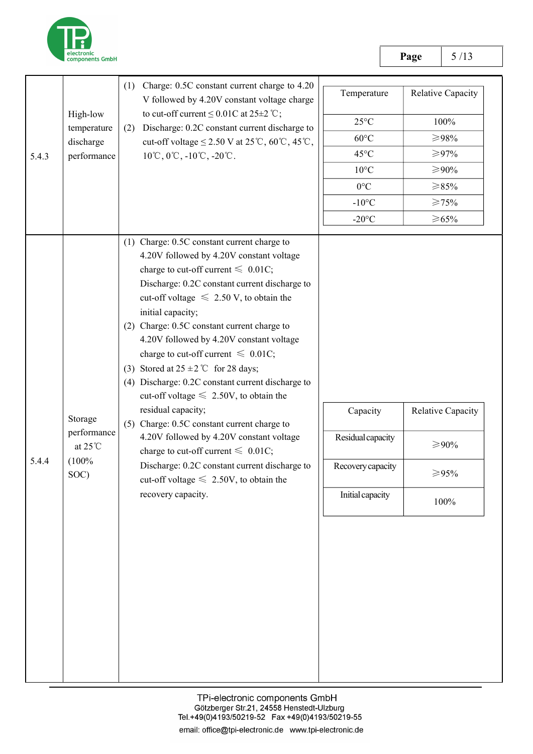

|          |                                                              | (1) Charge: 0.5C constant current charge to 4.20<br>V followed by 4.20V constant voltage charge                                                                                                                                                                                                                                                                                                                                                                                                                                                                                                                                                                                                                                                                                                                                       | Temperature                                                            | Relative Capacity                         |
|----------|--------------------------------------------------------------|---------------------------------------------------------------------------------------------------------------------------------------------------------------------------------------------------------------------------------------------------------------------------------------------------------------------------------------------------------------------------------------------------------------------------------------------------------------------------------------------------------------------------------------------------------------------------------------------------------------------------------------------------------------------------------------------------------------------------------------------------------------------------------------------------------------------------------------|------------------------------------------------------------------------|-------------------------------------------|
| High-low | to cut-off current $\leq 0.01C$ at 25±2 °C;                  | $25^{\circ}$ C                                                                                                                                                                                                                                                                                                                                                                                                                                                                                                                                                                                                                                                                                                                                                                                                                        | 100%                                                                   |                                           |
|          | temperature<br>discharge                                     | Discharge: 0.2C constant current discharge to<br>(2)<br>cut-off voltage $\leq$ 2.50 V at 25°C, 60°C, 45°C,                                                                                                                                                                                                                                                                                                                                                                                                                                                                                                                                                                                                                                                                                                                            | $60^{\circ}$ C                                                         | $>\!\!\geq\!\!98\%$                       |
| 5.4.3    | performance                                                  | $10^{\circ}\text{C}, 0^{\circ}\text{C}, -10^{\circ}\text{C}, -20^{\circ}\text{C}.$                                                                                                                                                                                                                                                                                                                                                                                                                                                                                                                                                                                                                                                                                                                                                    | $45^{\circ}$ C                                                         | ≥97%                                      |
|          |                                                              |                                                                                                                                                                                                                                                                                                                                                                                                                                                                                                                                                                                                                                                                                                                                                                                                                                       | $10^{\circ}$ C                                                         | ≥90%                                      |
|          |                                                              |                                                                                                                                                                                                                                                                                                                                                                                                                                                                                                                                                                                                                                                                                                                                                                                                                                       | $0^{\circ}C$                                                           | $\geq 85\%$                               |
|          |                                                              |                                                                                                                                                                                                                                                                                                                                                                                                                                                                                                                                                                                                                                                                                                                                                                                                                                       | $-10$ °C                                                               | $\geqslant$ 75%                           |
|          |                                                              |                                                                                                                                                                                                                                                                                                                                                                                                                                                                                                                                                                                                                                                                                                                                                                                                                                       | $-20$ °C                                                               | $\geq 65\%$                               |
| 5.4.4    | Storage<br>performance<br>at $25^{\circ}$ C<br>(100%<br>SOC) | (1) Charge: 0.5C constant current charge to<br>4.20V followed by 4.20V constant voltage<br>charge to cut-off current $\leq 0.01C$ ;<br>Discharge: 0.2C constant current discharge to<br>cut-off voltage $\leq 2.50$ V, to obtain the<br>initial capacity;<br>(2) Charge: 0.5C constant current charge to<br>4.20V followed by 4.20V constant voltage<br>charge to cut-off current $\leq 0.01C$ ;<br>(3) Stored at $25 \pm 2$ °C for 28 days;<br>(4) Discharge: 0.2C constant current discharge to<br>cut-off voltage $\leq 2.50V$ , to obtain the<br>residual capacity;<br>(5) Charge: 0.5C constant current charge to<br>4.20V followed by 4.20V constant voltage<br>charge to cut-off current $\leq 0.01C$ ;<br>Discharge: 0.2C constant current discharge to<br>cut-off voltage $\leq 2.50V$ , to obtain the<br>recovery capacity. | Capacity<br>Residual capacity<br>Recovery capacity<br>Initial capacity | Relative Capacity<br>≥90%<br>≥95%<br>100% |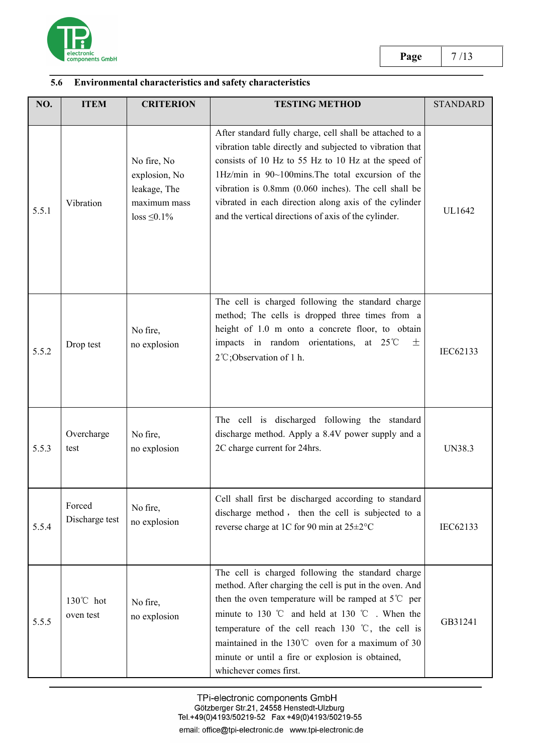

# **5.6 Environmental characteristics and safety characteristics**

| NO.   | <b>ITEM</b>                      | <b>CRITERION</b>                                                                  | <b>TESTING METHOD</b>                                                                                                                                                                                                                                                                                                                                                                                                                   | <b>STANDARD</b> |
|-------|----------------------------------|-----------------------------------------------------------------------------------|-----------------------------------------------------------------------------------------------------------------------------------------------------------------------------------------------------------------------------------------------------------------------------------------------------------------------------------------------------------------------------------------------------------------------------------------|-----------------|
| 5.5.1 | Vibration                        | No fire, No<br>explosion, No<br>leakage, The<br>maximum mass<br>$loss \leq 0.1\%$ | After standard fully charge, cell shall be attached to a<br>vibration table directly and subjected to vibration that<br>consists of 10 Hz to 55 Hz to 10 Hz at the speed of<br>1Hz/min in 90~100mins. The total excursion of the<br>vibration is 0.8mm (0.060 inches). The cell shall be<br>vibrated in each direction along axis of the cylinder<br>and the vertical directions of axis of the cylinder.                               | UL1642          |
| 5.5.2 | Drop test                        | No fire,<br>no explosion                                                          | The cell is charged following the standard charge<br>method; The cells is dropped three times from a<br>height of 1.0 m onto a concrete floor, to obtain<br>impacts in random orientations, at $25^{\circ}$ C<br>土<br>2°C;Observation of 1 h.                                                                                                                                                                                           | IEC62133        |
| 5.5.3 | Overcharge<br>test               | No fire,<br>no explosion                                                          | The cell is discharged following the standard<br>discharge method. Apply a 8.4V power supply and a<br>2C charge current for 24hrs.                                                                                                                                                                                                                                                                                                      | <b>UN38.3</b>   |
| 5.5.4 | Forced<br>Discharge test         | No fire,<br>no explosion                                                          | Cell shall first be discharged according to standard<br>discharge method, then the cell is subjected to a<br>reverse charge at 1C for 90 min at 25±2°C                                                                                                                                                                                                                                                                                  | IEC62133        |
| 5.5.5 | $130^{\circ}$ C hot<br>oven test | No fire,<br>no explosion                                                          | The cell is charged following the standard charge<br>method. After charging the cell is put in the oven. And<br>then the oven temperature will be ramped at $5^{\circ}$ C per<br>minute to 130 °C and held at 130 °C . When the<br>temperature of the cell reach 130 $\degree$ C, the cell is<br>maintained in the $130^{\circ}$ oven for a maximum of 30<br>minute or until a fire or explosion is obtained,<br>whichever comes first. | GB31241         |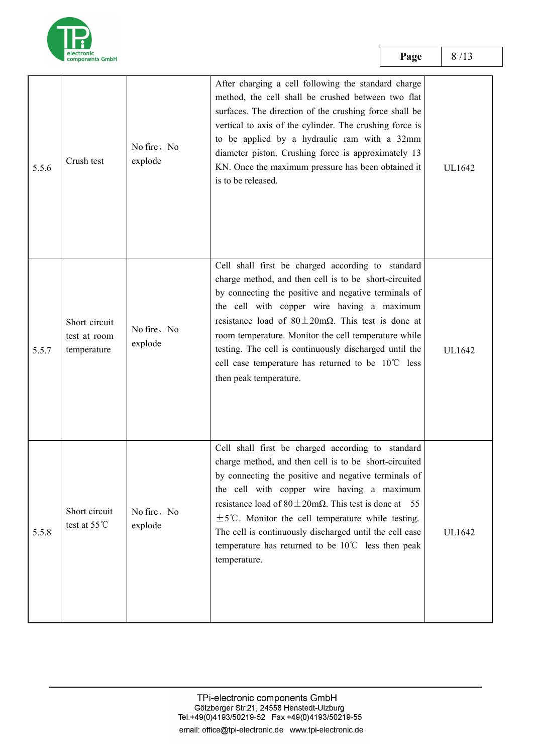

**Page** 8/13

| 5.5.6 | Crush test                                   | No fire, No<br>explode | After charging a cell following the standard charge<br>method, the cell shall be crushed between two flat<br>surfaces. The direction of the crushing force shall be<br>vertical to axis of the cylinder. The crushing force is<br>to be applied by a hydraulic ram with a 32mm<br>diameter piston. Crushing force is approximately 13<br>KN. Once the maximum pressure has been obtained it<br>is to be released.                                                                          | UL1642 |  |
|-------|----------------------------------------------|------------------------|--------------------------------------------------------------------------------------------------------------------------------------------------------------------------------------------------------------------------------------------------------------------------------------------------------------------------------------------------------------------------------------------------------------------------------------------------------------------------------------------|--------|--|
| 5.5.7 | Short circuit<br>test at room<br>temperature | No fire, No<br>explode | Cell shall first be charged according to standard<br>charge method, and then cell is to be short-circuited<br>by connecting the positive and negative terminals of<br>the cell with copper wire having a maximum<br>resistance load of $80 \pm 20 \text{m}\Omega$ . This test is done at<br>room temperature. Monitor the cell temperature while<br>testing. The cell is continuously discharged until the<br>cell case temperature has returned to be 10°C less<br>then peak temperature. | UL1642 |  |
| 5.5.8 | Short circuit<br>test at $55^{\circ}$ C      | No fire, No<br>explode | Cell shall first be charged according to standard<br>charge method, and then cell is to be short-circuited<br>by connecting the positive and negative terminals of<br>the cell with copper wire having a maximum<br>resistance load of $80 \pm 20 \text{m}\Omega$ . This test is done at 55<br>$\pm$ 5°C. Monitor the cell temperature while testing.<br>The cell is continuously discharged until the cell case<br>temperature has returned to be 10℃ less then peak<br>temperature.      | UL1642 |  |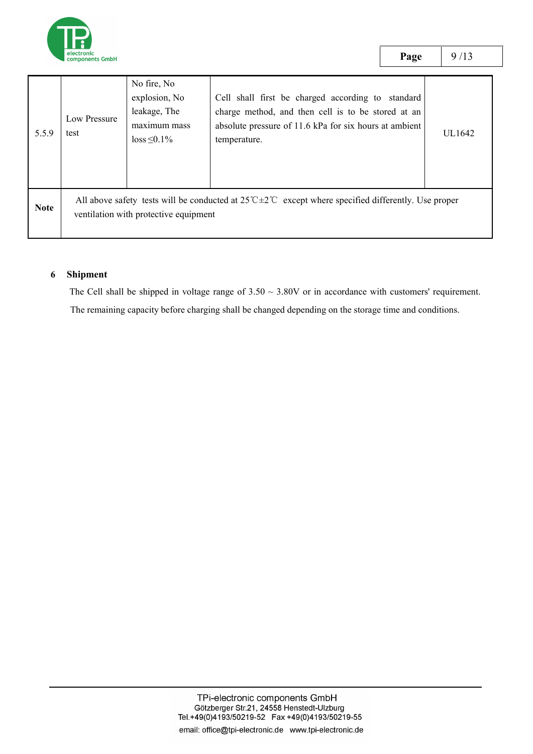

test

5.5.9 test  $\log_{10} 5.5.9$  subset Low Pressure  $\begin{array}{c} \end{array}$   $\begin{array}{c} \text{teanges, Inc.} \\ \text{maximum mass.} \end{array}$ No fire, No explosion, No  $|$  Cell shall first be charged according to standard  $|$ leakage, The maximum mass absolute pressure of 11.6 kPa for six hours at ambient  $\begin{bmatrix} 1 & 1 \\ 1 & 1 \end{bmatrix}$ temperature. charge method, and then cell is to be stored at an temperature.

Note ventilation with protective equipment All above safety tests will be conducted at 25℃±2℃ except where specified differently.Use proper

### **6 Shipment**

The Cell shall be shipped in voltage range of  $3.50 \sim 3.80V$  or in accordance with customers' requirement.

The remaining capacity before charging shall be changed depending on the storage time and conditions.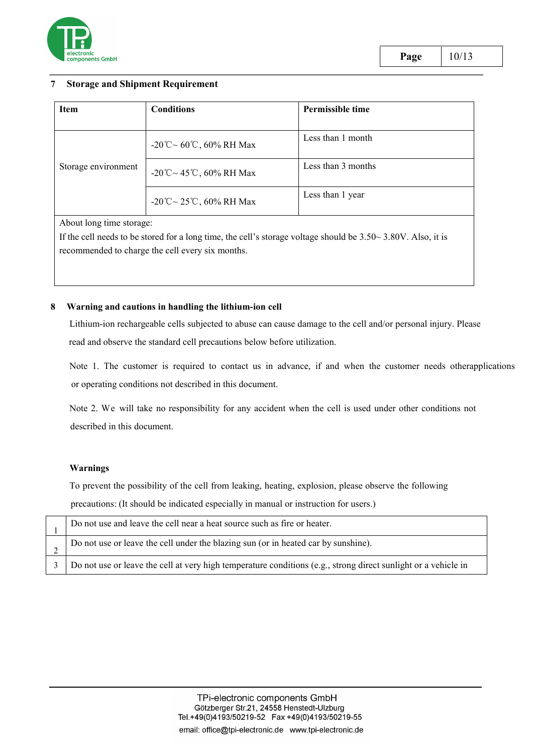

#### **7 Storage and Shipment Requirement**

| <b>Item</b>         | <b>Conditions</b>        | Permissible time   |
|---------------------|--------------------------|--------------------|
|                     | -20°C ~ 60°C, 60% RH Max | Less than 1 month  |
| Storage environment | -20°C ~ 45°C, 60% RH Max | Less than 3 months |
|                     | -20°C ~ 25°C, 60% RH Max | Less than 1 year   |
|                     |                          |                    |

About long time storage:

If the cell needs to be stored for a long time, the cell's storage voltage should be 3.50~ 3.80V. Also, it is recommended to charge the cell every six months.

#### **8 Warning and cautions in handling the lithium-ion cell**

Lithium-ion rechargeable cells subjected to abuse can cause damage to the cell and/or personal injury. Please read and observe the standard cell precautions below before utilization.

Note 1. The customer is required to contact us in advance, if and when the customer needs otherapplications or operating conditions not described in this document.

Note 2. We will take no responsibility for any accident when the cell is used under other conditions not described in this document.

#### **Warnings**

To prevent the possibility of the cell from leaking, heating, explosion, please observe the following precautions: (It should be indicated especially in manual or instruction for users.)

| Do not use and leave the cell near a heat source such as fire or heater.                                       |
|----------------------------------------------------------------------------------------------------------------|
| Do not use or leave the cell under the blazing sun (or in heated car by sunshine).                             |
| Do not use or leave the cell at very high temperature conditions (e.g., strong direct sunlight or a vehicle in |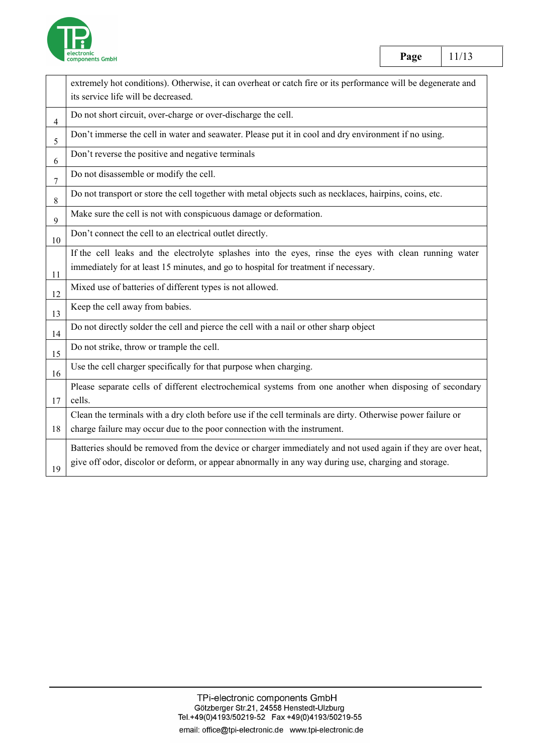

|                | extremely hot conditions). Otherwise, it can overheat or catch fire or its performance will be degenerate and |
|----------------|---------------------------------------------------------------------------------------------------------------|
|                | its service life will be decreased.                                                                           |
| $\overline{4}$ | Do not short circuit, over-charge or over-discharge the cell.                                                 |
| 5              | Don't immerse the cell in water and seawater. Please put it in cool and dry environment if no using.          |
| 6              | Don't reverse the positive and negative terminals                                                             |
| $\overline{7}$ | Do not disassemble or modify the cell.                                                                        |
| 8              | Do not transport or store the cell together with metal objects such as necklaces, hairpins, coins, etc.       |
| 9              | Make sure the cell is not with conspicuous damage or deformation.                                             |
| 10             | Don't connect the cell to an electrical outlet directly.                                                      |
|                | If the cell leaks and the electrolyte splashes into the eyes, rinse the eyes with clean running water         |
| 11             | immediately for at least 15 minutes, and go to hospital for treatment if necessary.                           |
| 12             | Mixed use of batteries of different types is not allowed.                                                     |
| 13             | Keep the cell away from babies.                                                                               |
| 14             | Do not directly solder the cell and pierce the cell with a nail or other sharp object                         |
| 15             | Do not strike, throw or trample the cell.                                                                     |
| 16             | Use the cell charger specifically for that purpose when charging.                                             |
|                | Please separate cells of different electrochemical systems from one another when disposing of secondary       |
| 17             | cells.                                                                                                        |
|                | Clean the terminals with a dry cloth before use if the cell terminals are dirty. Otherwise power failure or   |
| 18             | charge failure may occur due to the poor connection with the instrument.                                      |
|                | Batteries should be removed from the device or charger immediately and not used again if they are over heat,  |
| 19             | give off odor, discolor or deform, or appear abnormally in any way during use, charging and storage.          |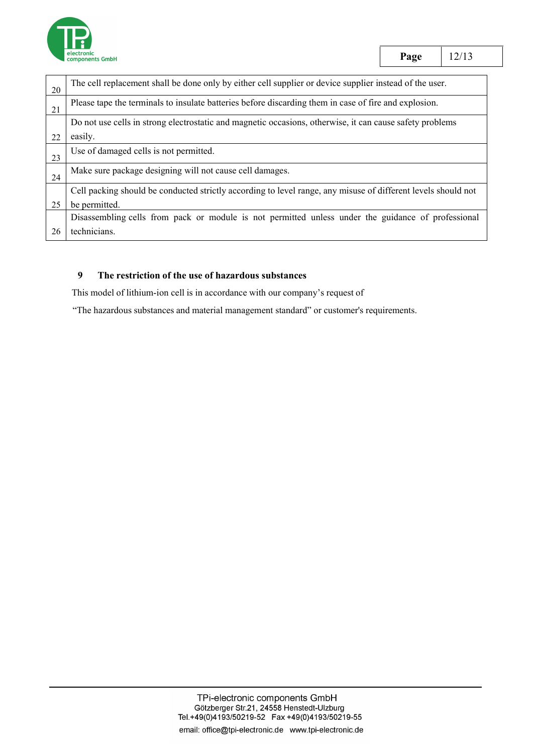

| 20 | The cell replacement shall be done only by either cell supplier or device supplier instead of the user.       |
|----|---------------------------------------------------------------------------------------------------------------|
| 21 | Please tape the terminals to insulate batteries before discarding them in case of fire and explosion.         |
|    | Do not use cells in strong electrostatic and magnetic occasions, otherwise, it can cause safety problems      |
| 22 | easily.                                                                                                       |
| 23 | Use of damaged cells is not permitted.                                                                        |
| 24 | Make sure package designing will not cause cell damages.                                                      |
|    | Cell packing should be conducted strictly according to level range, any misuse of different levels should not |
| 25 | be permitted.                                                                                                 |
|    | Disassembling cells from pack or module is not permitted unless under the guidance of professional            |
|    | technicians.                                                                                                  |

### **9 The restriction of the use of hazardous substances**

This model of lithium-ion cell is in accordance with our company's request of

"The hazardous substances and material management standard" or customer's requirements.